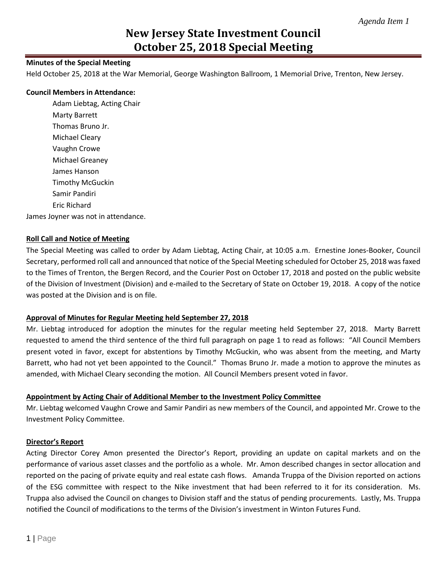# **New Jersey State Investment Council October 25, 2018 Special Meeting**

# **Minutes of the Special Meeting**

Held October 25, 2018 at the War Memorial, George Washington Ballroom, 1 Memorial Drive, Trenton, New Jersey.

#### **Council Members in Attendance:**

Adam Liebtag, Acting Chair Marty Barrett Thomas Bruno Jr. Michael Cleary Vaughn Crowe Michael Greaney James Hanson Timothy McGuckin Samir Pandiri Eric Richard

James Joyner was not in attendance.

#### **Roll Call and Notice of Meeting**

The Special Meeting was called to order by Adam Liebtag, Acting Chair, at 10:05 a.m. Ernestine Jones-Booker, Council Secretary, performed roll call and announced that notice of the Special Meeting scheduled for October 25, 2018 was faxed to the Times of Trenton, the Bergen Record, and the Courier Post on October 17, 2018 and posted on the public website of the Division of Investment (Division) and e-mailed to the Secretary of State on October 19, 2018. A copy of the notice was posted at the Division and is on file.

#### **Approval of Minutes for Regular Meeting held September 27, 2018**

Mr. Liebtag introduced for adoption the minutes for the regular meeting held September 27, 2018. Marty Barrett requested to amend the third sentence of the third full paragraph on page 1 to read as follows: "All Council Members present voted in favor, except for abstentions by Timothy McGuckin, who was absent from the meeting, and Marty Barrett, who had not yet been appointed to the Council." Thomas Bruno Jr. made a motion to approve the minutes as amended, with Michael Cleary seconding the motion. All Council Members present voted in favor.

#### **Appointment by Acting Chair of Additional Member to the Investment Policy Committee**

Mr. Liebtag welcomed Vaughn Crowe and Samir Pandiri as new members of the Council, and appointed Mr. Crowe to the Investment Policy Committee.

#### **Director's Report**

Acting Director Corey Amon presented the Director's Report, providing an update on capital markets and on the performance of various asset classes and the portfolio as a whole. Mr. Amon described changes in sector allocation and reported on the pacing of private equity and real estate cash flows. Amanda Truppa of the Division reported on actions of the ESG committee with respect to the Nike investment that had been referred to it for its consideration. Ms. Truppa also advised the Council on changes to Division staff and the status of pending procurements. Lastly, Ms. Truppa notified the Council of modifications to the terms of the Division's investment in Winton Futures Fund.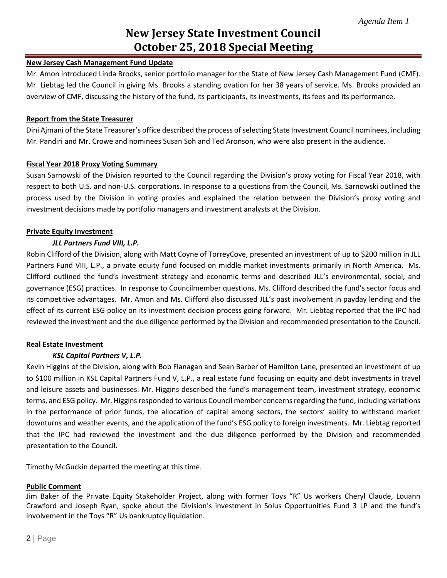# **New Jersey State Investment Council October 25, 2018 Special Meeting**

## **New Jersey Cash Management Fund Update**

Mr. Amon introduced Linda Brooks, senior portfolio manager for the State of New Jersey Cash Management Fund (CMF). Mr. Liebtag led the Council in giving Ms. Brooks a standing ovation for her 38 years of service. Ms. Brooks provided an overview of CMF, discussing the history of the fund, its participants, its investments, its fees and its performance.

## **Report from the State Treasurer**

Dini Ajmani of the State Treasurer's office described the process of selecting State Investment Council nominees, including Mr. Pandiri and Mr. Crowe and nominees Susan Soh and Ted Aronson, who were also present in the audience.

## **Fiscal Year 2018 Proxy Voting Summary**

Susan Sarnowski of the Division reported to the Council regarding the Division's proxy voting for Fiscal Year 2018, with respect to both U.S. and non-U.S. corporations. In response to a questions from the Council, Ms. Sarnowski outlined the process used by the Division in voting proxies and explained the relation between the Division's proxy voting and investment decisions made by portfolio managers and investment analysts at the Division.

## **Private Equity Investment**

## *JLL Partners Fund VIII, L.P.*

Robin Clifford of the Division, along with Matt Coyne of TorreyCove, presented an investment of up to \$200 million in JLL Partners Fund VIII, L.P., a private equity fund focused on middle market investments primarily in North America. Ms. Clifford outlined the fund's investment strategy and economic terms and described JLL's environmental, social, and governance (ESG) practices. In response to Councilmember questions, Ms. Clifford described the fund's sector focus and its competitive advantages. Mr. Amon and Ms. Clifford also discussed JLL's past involvement in payday lending and the effect of its current ESG policy on its investment decision process going forward. Mr. Liebtag reported that the IPC had reviewed the investment and the due diligence performed by the Division and recommended presentation to the Council.

#### **Real Estate Investment**

# *KSL Capital Partners V, L.P.*

Kevin Higgins of the Division, along with Bob Flanagan and Sean Barber of Hamilton Lane, presented an investment of up to \$100 million in KSL Capital Partners Fund V, L.P., a real estate fund focusing on equity and debt investments in travel and leisure assets and businesses. Mr. Higgins described the fund's management team, investment strategy, economic terms, and ESG policy. Mr. Higgins responded to various Council member concernsregarding the fund, including variations in the performance of prior funds, the allocation of capital among sectors, the sectors' ability to withstand market downturns and weather events, and the application of the fund's ESG policy to foreign investments. Mr. Liebtag reported that the IPC had reviewed the investment and the due diligence performed by the Division and recommended presentation to the Council.

Timothy McGuckin departed the meeting at this time.

# **Public Comment**

Jim Baker of the Private Equity Stakeholder Project, along with former Toys "R" Us workers Cheryl Claude, Louann Crawford and Joseph Ryan, spoke about the Division's investment in Solus Opportunities Fund 3 LP and the fund's involvement in the Toys "R" Us bankruptcy liquidation.